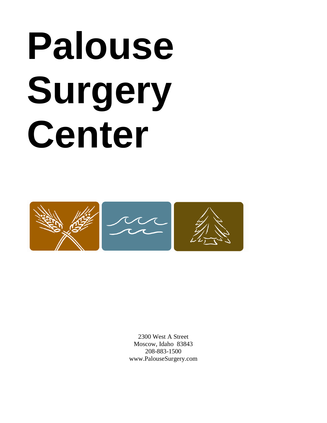# **Palouse Surgery Center**



2300 West A Street Moscow, Idaho 83843 208-883-1500 www.PalouseSurgery.com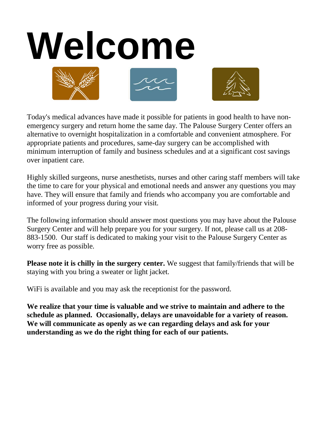

Today's medical advances have made it possible for patients in good health to have nonemergency surgery and return home the same day. The Palouse Surgery Center offers an alternative to overnight hospitalization in a comfortable and convenient atmosphere. For appropriate patients and procedures, same-day surgery can be accomplished with minimum interruption of family and business schedules and at a significant cost savings over inpatient care.

Highly skilled surgeons, nurse anesthetists, nurses and other caring staff members will take the time to care for your physical and emotional needs and answer any questions you may have. They will ensure that family and friends who accompany you are comfortable and informed of your progress during your visit.

The following information should answer most questions you may have about the Palouse Surgery Center and will help prepare you for your surgery. If not, please call us at 208- 883-1500. Our staff is dedicated to making your visit to the Palouse Surgery Center as worry free as possible.

**Please note it is chilly in the surgery center.** We suggest that family/friends that will be staying with you bring a sweater or light jacket.

WiFi is available and you may ask the receptionist for the password.

**We realize that your time is valuable and we strive to maintain and adhere to the schedule as planned. Occasionally, delays are unavoidable for a variety of reason. We will communicate as openly as we can regarding delays and ask for your understanding as we do the right thing for each of our patients.**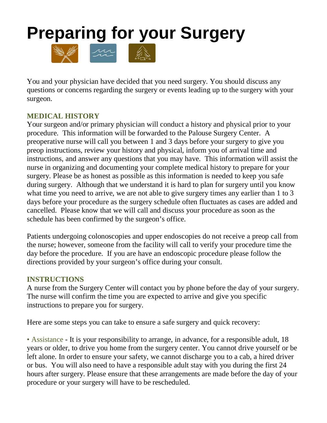## **Preparing for your Surgery**



You and your physician have decided that you need surgery. You should discuss any questions or concerns regarding the surgery or events leading up to the surgery with your surgeon.

#### **MEDICAL HISTORY**

Your surgeon and/or primary physician will conduct a history and physical prior to your procedure. This information will be forwarded to the Palouse Surgery Center. A preoperative nurse will call you between 1 and 3 days before your surgery to give you preop instructions, review your history and physical, inform you of arrival time and instructions, and answer any questions that you may have. This information will assist the nurse in organizing and documenting your complete medical history to prepare for your surgery. Please be as honest as possible as this information is needed to keep you safe during surgery. Although that we understand it is hard to plan for surgery until you know what time you need to arrive, we are not able to give surgery times any earlier than 1 to 3 days before your procedure as the surgery schedule often fluctuates as cases are added and cancelled. Please know that we will call and discuss your procedure as soon as the schedule has been confirmed by the surgeon's office.

Patients undergoing colonoscopies and upper endoscopies do not receive a preop call from the nurse; however, someone from the facility will call to verify your procedure time the day before the procedure. If you are have an endoscopic procedure please follow the directions provided by your surgeon's office during your consult.

#### **INSTRUCTIONS**

A nurse from the Surgery Center will contact you by phone before the day of your surgery. The nurse will confirm the time you are expected to arrive and give you specific instructions to prepare you for surgery.

Here are some steps you can take to ensure a safe surgery and quick recovery:

• Assistance - It is your responsibility to arrange, in advance, for a responsible adult, 18 years or older, to drive you home from the surgery center. You cannot drive yourself or be left alone. In order to ensure your safety, we cannot discharge you to a cab, a hired driver or bus. You will also need to have a responsible adult stay with you during the first 24 hours after surgery. Please ensure that these arrangements are made before the day of your procedure or your surgery will have to be rescheduled.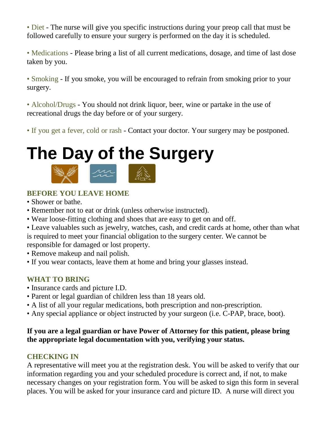• Diet - The nurse will give you specific instructions during your preop call that must be followed carefully to ensure your surgery is performed on the day it is scheduled.

• Medications - Please bring a list of all current medications, dosage, and time of last dose taken by you.

• Smoking - If you smoke, you will be encouraged to refrain from smoking prior to your surgery.

• Alcohol/Drugs - You should not drink liquor, beer, wine or partake in the use of recreational drugs the day before or of your surgery.

• If you get a fever, cold or rash - Contact your doctor. Your surgery may be postponed.

# **The Day of the Surgery**



#### **BEFORE YOU LEAVE HOME**

- Shower or bathe.
- Remember not to eat or drink (unless otherwise instructed).
- Wear loose-fitting clothing and shoes that are easy to get on and off.
- Leave valuables such as jewelry, watches, cash, and credit cards at home, other than what is required to meet your financial obligation to the surgery center. We cannot be responsible for damaged or lost property.
- Remove makeup and nail polish.
- If you wear contacts, leave them at home and bring your glasses instead.

#### **WHAT TO BRING**

- Insurance cards and picture I.D.
- Parent or legal guardian of children less than 18 years old.
- A list of all your regular medications, both prescription and non-prescription.
- Any special appliance or object instructed by your surgeon (i.e. C-PAP, brace, boot).

#### **If you are a legal guardian or have Power of Attorney for this patient, please bring the appropriate legal documentation with you, verifying your status.**

#### **CHECKING IN**

A representative will meet you at the registration desk. You will be asked to verify that our information regarding you and your scheduled procedure is correct and, if not, to make necessary changes on your registration form. You will be asked to sign this form in several places. You will be asked for your insurance card and picture ID. A nurse will direct you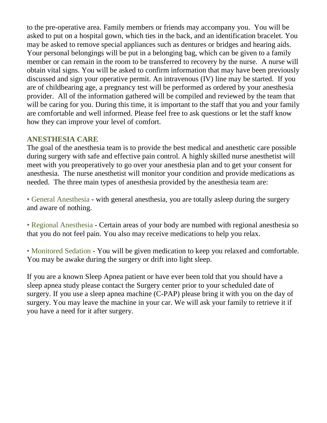to the pre-operative area. Family members or friends may accompany you. You will be asked to put on a hospital gown, which ties in the back, and an identification bracelet. You may be asked to remove special appliances such as dentures or bridges and hearing aids. Your personal belongings will be put in a belonging bag, which can be given to a family member or can remain in the room to be transferred to recovery by the nurse. A nurse will obtain vital signs. You will be asked to confirm information that may have been previously discussed and sign your operative permit. An intravenous (IV) line may be started. If you are of childbearing age, a pregnancy test will be performed as ordered by your anesthesia provider. All of the information gathered will be compiled and reviewed by the team that will be caring for you. During this time, it is important to the staff that you and your family are comfortable and well informed. Please feel free to ask questions or let the staff know how they can improve your level of comfort.

#### **ANESTHESIA CARE**

The goal of the anesthesia team is to provide the best medical and anesthetic care possible during surgery with safe and effective pain control. A highly skilled nurse anesthetist will meet with you preoperatively to go over your anesthesia plan and to get your consent for anesthesia. The nurse anesthetist will monitor your condition and provide medications as needed. The three main types of anesthesia provided by the anesthesia team are:

• General Anesthesia - with general anesthesia, you are totally asleep during the surgery and aware of nothing.

• Regional Anesthesia - Certain areas of your body are numbed with regional anesthesia so that you do not feel pain. You also may receive medications to help you relax.

• Monitored Sedation - You will be given medication to keep you relaxed and comfortable. You may be awake during the surgery or drift into light sleep.

If you are a known Sleep Apnea patient or have ever been told that you should have a sleep apnea study please contact the Surgery center prior to your scheduled date of surgery. If you use a sleep apnea machine (C-PAP) please bring it with you on the day of surgery. You may leave the machine in your car. We will ask your family to retrieve it if you have a need for it after surgery.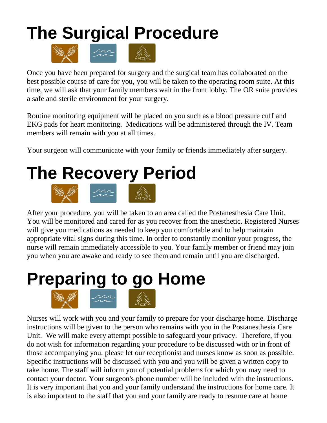### **The Surgical Procedure**



Once you have been prepared for surgery and the surgical team has collaborated on the best possible course of care for you, you will be taken to the operating room suite. At this time, we will ask that your family members wait in the front lobby. The OR suite provides a safe and sterile environment for your surgery.

Routine monitoring equipment will be placed on you such as a blood pressure cuff and EKG pads for heart monitoring. Medications will be administered through the IV. Team members will remain with you at all times.

Your surgeon will communicate with your family or friends immediately after surgery.

# **The Recovery Period**



After your procedure, you will be taken to an area called the Postanesthesia Care Unit. You will be monitored and cared for as you recover from the anesthetic. Registered Nurses will give you medications as needed to keep you comfortable and to help maintain appropriate vital signs during this time. In order to constantly monitor your progress, the nurse will remain immediately accessible to you. Your family member or friend may join you when you are awake and ready to see them and remain until you are discharged.

# **Preparing to go Home**



Nurses will work with you and your family to prepare for your discharge home. Discharge instructions will be given to the person who remains with you in the Postanesthesia Care Unit. We will make every attempt possible to safeguard your privacy. Therefore, if you do not wish for information regarding your procedure to be discussed with or in front of those accompanying you, please let our receptionist and nurses know as soon as possible. Specific instructions will be discussed with you and you will be given a written copy to take home. The staff will inform you of potential problems for which you may need to contact your doctor. Your surgeon's phone number will be included with the instructions. It is very important that you and your family understand the instructions for home care. It is also important to the staff that you and your family are ready to resume care at home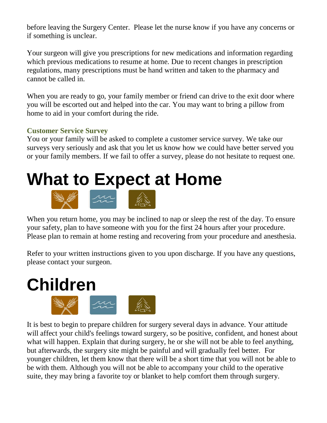before leaving the Surgery Center. Please let the nurse know if you have any concerns or if something is unclear.

Your surgeon will give you prescriptions for new medications and information regarding which previous medications to resume at home. Due to recent changes in prescription regulations, many prescriptions must be hand written and taken to the pharmacy and cannot be called in.

When you are ready to go, your family member or friend can drive to the exit door where you will be escorted out and helped into the car. You may want to bring a pillow from home to aid in your comfort during the ride.

#### **Customer Service Survey**

You or your family will be asked to complete a customer service survey. We take our surveys very seriously and ask that you let us know how we could have better served you or your family members. If we fail to offer a survey, please do not hesitate to request one.

### **What to Expect at Home**



When you return home, you may be inclined to nap or sleep the rest of the day. To ensure your safety, plan to have someone with you for the first 24 hours after your procedure. Please plan to remain at home resting and recovering from your procedure and anesthesia.

Refer to your written instructions given to you upon discharge. If you have any questions, please contact your surgeon.



It is best to begin to prepare children for surgery several days in advance. Your attitude will affect your child's feelings toward surgery, so be positive, confident, and honest about what will happen. Explain that during surgery, he or she will not be able to feel anything, but afterwards, the surgery site might be painful and will gradually feel better. For younger children, let them know that there will be a short time that you will not be able to be with them. Although you will not be able to accompany your child to the operative suite, they may bring a favorite toy or blanket to help comfort them through surgery.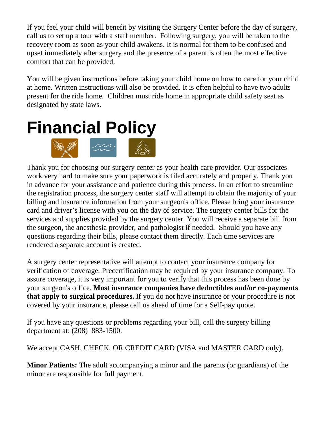If you feel your child will benefit by visiting the Surgery Center before the day of surgery, call us to set up a tour with a staff member. Following surgery, you will be taken to the recovery room as soon as your child awakens. It is normal for them to be confused and upset immediately after surgery and the presence of a parent is often the most effective comfort that can be provided.

You will be given instructions before taking your child home on how to care for your child at home. Written instructions will also be provided. It is often helpful to have two adults present for the ride home. Children must ride home in appropriate child safety seat as designated by state laws.



Thank you for choosing our surgery center as your health care provider. Our associates work very hard to make sure your paperwork is filed accurately and properly. Thank you in advance for your assistance and patience during this process. In an effort to streamline the registration process, the surgery center staff will attempt to obtain the majority of your billing and insurance information from your surgeon's office. Please bring your insurance card and driver's license with you on the day of service. The surgery center bills for the services and supplies provided by the surgery center. You will receive a separate bill from the surgeon, the anesthesia provider, and pathologist if needed. Should you have any questions regarding their bills, please contact them directly. Each time services are rendered a separate account is created.

A surgery center representative will attempt to contact your insurance company for verification of coverage. Precertification may be required by your insurance company. To assure coverage, it is very important for you to verify that this process has been done by your surgeon's office. **Most insurance companies have deductibles and/or co-payments that apply to surgical procedures.** If you do not have insurance or your procedure is not covered by your insurance, please call us ahead of time for a Self-pay quote.

If you have any questions or problems regarding your bill, call the surgery billing department at: (208) 883-1500.

We accept CASH, CHECK, OR CREDIT CARD (VISA and MASTER CARD only).

**Minor Patients:** The adult accompanying a minor and the parents (or guardians) of the minor are responsible for full payment.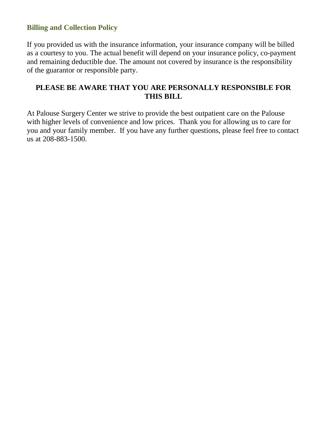#### **Billing and Collection Policy**

If you provided us with the insurance information, your insurance company will be billed as a courtesy to you. The actual benefit will depend on your insurance policy, co-payment and remaining deductible due. The amount not covered by insurance is the responsibility of the guarantor or responsible party.

#### **PLEASE BE AWARE THAT YOU ARE PERSONALLY RESPONSIBLE FOR THIS BILL**

At Palouse Surgery Center we strive to provide the best outpatient care on the Palouse with higher levels of convenience and low prices. Thank you for allowing us to care for you and your family member. If you have any further questions, please feel free to contact us at 208-883-1500.